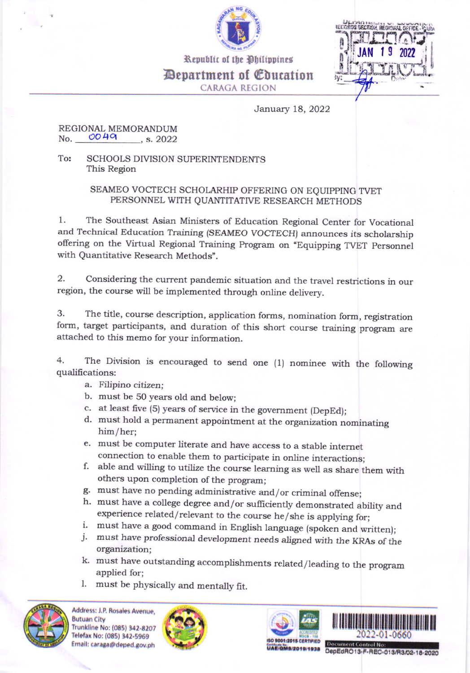

Republic of the Philippines Department of @bucation

CARACA REGION



January 18, 2022

## REGIONAL MEMORANDUM No.  $0049$  , s. 2022

To: SCHOOLS DIVISION SUPERINTENDENTS This Region

## SEAMEO VOCTECH SCHOLARHIP OFFERING ON EQUIPPING TVET PERSONNEL WITH QUANTITATIVE RESEARCH METHODS

1. The southeast Asian Ministers of Education Regional center for Vocational and Technical Education Training (SEAMEO VOCTECH) announces its scholarship offering on the Virtual Regional Training Program on "Equipping TVET Personnel with Quantitative Research Methods".

2. considering the current pandemic situation and the travel restrictions in our region, the course will be implemented through online delivery.

3. The title, course description, application forms, nomination form, registration form, target participants, and duration of this short course training program are attached to this memo for your information.

4. The Division is encouraged to send one (1) nominee with the following qualifications:

- a. Filipino citizen;
- b. must be 50 years old and below;
- c. at least five (5) years of service in the government (DepEd);
- d. must hold a permanent appointment at the organization nominating him/her;
- e. must be computer literate and have access to a stable internet
- f. able and willing to utilize the course learning as well as share them with others upon completion of the program;<br>g. must have no pending administrative and/or criminal offense;
- 
- h. must have a college degree and/or sufficiently demonstrated ability and experience related/relevant to the course he/she is applying for;
- 
- i. must have a good command in English language (spoken and written); j. must have professional development needs aligned with the KRAs of the organization;
- k. must have outstanding accomplishments related/leading to the program applied for;
- 1. must be physically and mentally fit.









trfl,l\*'j:'#Hffi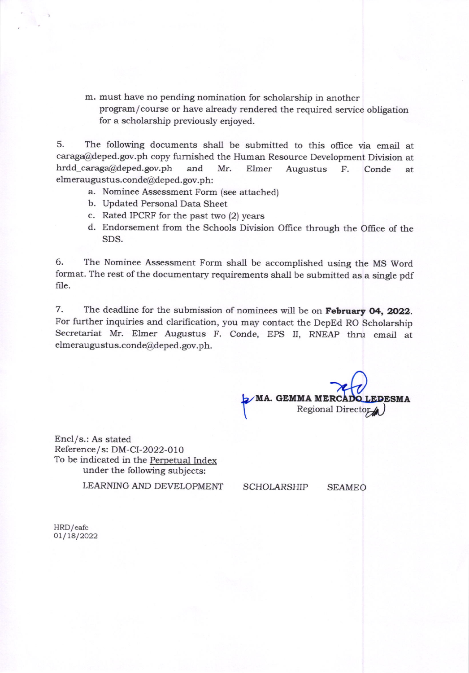m. must have no pending nomination for scholarship in another program/course or have already rendered the required service obligation for a scholarship previously enjoyed.

5. The following documents shall be submitted to this office via email at caraga@deped.gov.ph copy furnished the Human Resource Development Division at hrdd\_caraga@deped.gov.ph and Mr. Elmer Augustus F. Conde at elmeraugustus.conde@deped.gov.ph:

- a. Nominee Assessment Form (see attached)
- b. Updated Personal Data Sheet
- c. Rated IPCRF for the past two (2) years
- d. Endorsement from the Schools Division Office through the Oflice of the SDS.

6. The Nominee Assessment Form shall be accomplished using the MS Word format. The rest of the documentary requirements shall be submitted as a single pdf file.

7. The deadline for the submission of nominees will be on February 04, 2022. For further inquiries and clarification, you may contact the DepEd RO Scholarship Secretariat Mr. Elmer Augustus F. Conde, EPS II, RNEAP thru email at elmeraugustus.conde@deped.gov.ph.

 $\mathcal{N}$ MA. GEMMA MERCAL **EDESMA**  $\overline{y}$ Regional Director

Encl/s.: As stated Reference/s: DM-CI-2022-010 To be indicated in the Perpetual Index under the following subjects:

LEARNING AND DEVELOPMENT

SCHOLARSHIP SEAMEO

HRD/eafc 01/18/2022